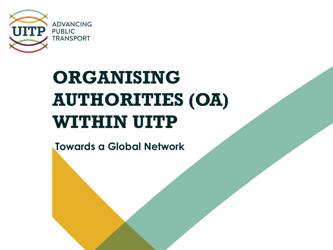

## **ORGANISING AUTHORITIES (OA) WITHIN UITP**

**Towards a Global Network**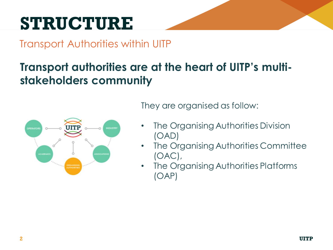## **STRUCTURE**

Transport Authorities within UITP

### **Transport authorities are at the heart of UITP's multistakeholders community**



They are organised as follow:

- The Organising Authorities Division  $(OAD)$
- The Organising Authorities Committee  $(OAC)$ ,
- The Organising Authorities Platforms  $\bullet$  $(OAP)$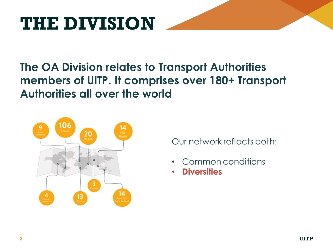## **THE DIVISION**

### **The OA Division relates to Transport Authorities members of UITP. It comprises over 180+ Transport Authorities all over the world**



Our network reflects both:

- Common conditions
- **Diversities**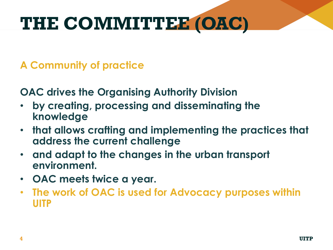## **THE COMMITTEE (OAC)**

**A Community of practice** 

**OAC drives the Organising Authority Division** 

- **by creating, processing and disseminating the knowledge**
- **that allows crafting and implementing the practices that address the current challenge**
- **and adapt to the changes in the urban transport environment.**
- **OAC meets twice a year.**
- **The work of OAC is used for Advocacy purposes within UITP**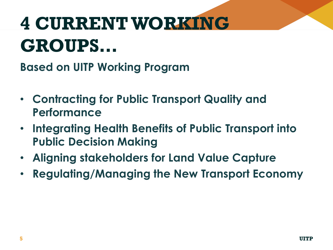# **4 CURRENTWORKING GROUPS…**

**Based on UITP Working Program** 

- **Contracting for Public Transport Quality and Performance**
- **Integrating Health Benefits of Public Transport into Public Decision Making**
- **Aligning stakeholders for Land Value Capture**
- **Regulating/Managing the New Transport Economy**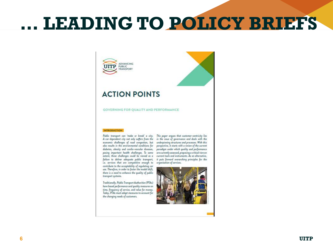### **… LEADING TO POLICY BRIEFS**

### **ACTION POINTS**

**ADVANCING PUBLIC TRANSPORT** 

**GOVERNING FOR QUALITY AND PERFORMANCE** 

### **INTRODUCTION**

A car-dependant city not only suffers from the in the issue of governance and deals with the economic challenges of road congestion, but underpinning structures and processes. With this also results in the environmental conditions for perspective, it starts with a review of the current diabetes, obesity and cardio-vascular diseases, paradigm under which quality and performance posing important health challenges. To some are currently assessed, proposing a critical view on extent, these challenges could be viewed as a current tools and instruments. As an alternative, failure to deliver adequate public transport, it puts forward overarching principles for the Le. services that are competitive enough to arganisation of services. contribute to the acceptability of regulating car use. Therefore, in order to foster the modal shift, there is a need to enhance the quality of public transport systems.

Traditionally, Public Transport Authorities (PTAs) have based performance and quality measures on time, frequency of service, and value for maney. Today, PTAs must adapt measures to account for the changing needs of customers.

Public transport can 'make or break' a city. This paper arques that customer-centricity lies

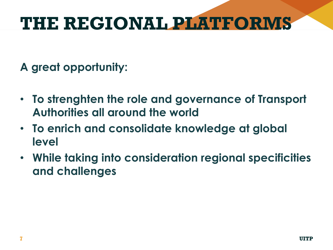## **THE REGIONAL PLATFORMS**

### **A great opportunity:**

- **To strenghten the role and governance of Transport Authorities all around the world**
- **To enrich and consolidate knowledge at global level**
- **While taking into consideration regional specificities and challenges**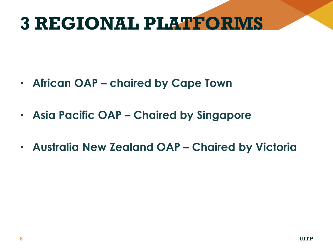### **3 REGIONAL PLATFORMS**

- **African OAP – chaired by Cape Town**
- **Asia Pacific OAP – Chaired by Singapore**
- **Australia New Zealand OAP – Chaired by Victoria**